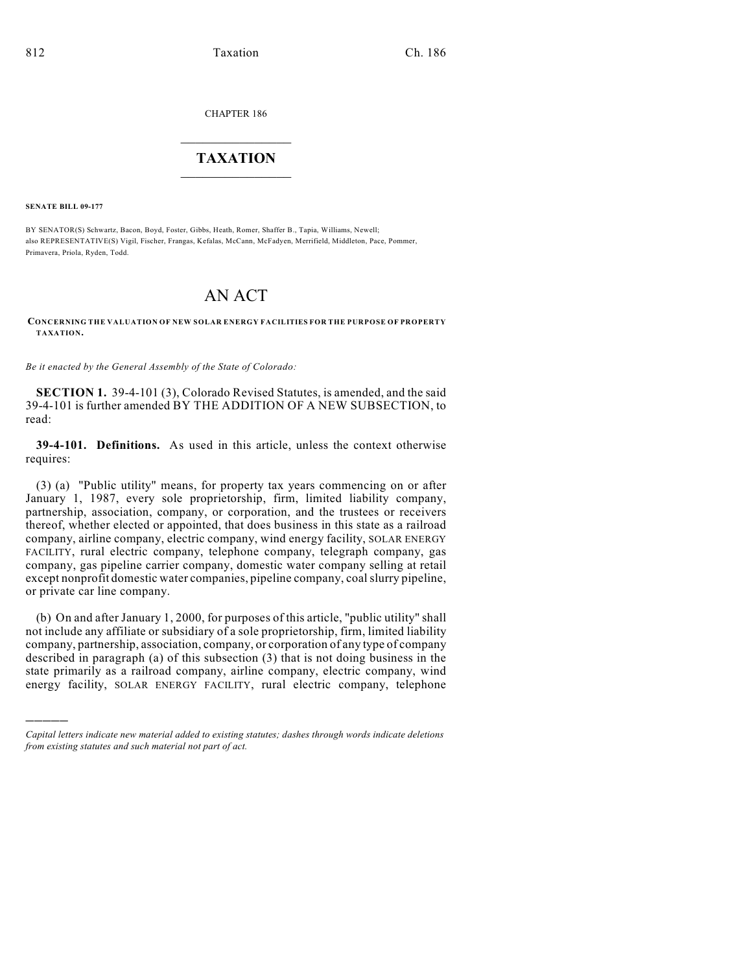CHAPTER 186

## $\overline{\phantom{a}}$  . The set of the set of the set of the set of the set of the set of the set of the set of the set of the set of the set of the set of the set of the set of the set of the set of the set of the set of the set o **TAXATION**  $\_$

**SENATE BILL 09-177**

)))))

BY SENATOR(S) Schwartz, Bacon, Boyd, Foster, Gibbs, Heath, Romer, Shaffer B., Tapia, Williams, Newell; also REPRESENTATIVE(S) Vigil, Fischer, Frangas, Kefalas, McCann, McFadyen, Merrifield, Middleton, Pace, Pommer, Primavera, Priola, Ryden, Todd.

## AN ACT

**CONCERNING THE VALUATION OF NEW SOLAR ENERGY FACILITIES FOR THE PURPOSE OF PROPERTY TAXATION.**

*Be it enacted by the General Assembly of the State of Colorado:*

**SECTION 1.** 39-4-101 (3), Colorado Revised Statutes, is amended, and the said 39-4-101 is further amended BY THE ADDITION OF A NEW SUBSECTION, to read:

**39-4-101. Definitions.** As used in this article, unless the context otherwise requires:

(3) (a) "Public utility" means, for property tax years commencing on or after January 1, 1987, every sole proprietorship, firm, limited liability company, partnership, association, company, or corporation, and the trustees or receivers thereof, whether elected or appointed, that does business in this state as a railroad company, airline company, electric company, wind energy facility, SOLAR ENERGY FACILITY, rural electric company, telephone company, telegraph company, gas company, gas pipeline carrier company, domestic water company selling at retail except nonprofit domestic water companies, pipeline company, coal slurry pipeline, or private car line company.

(b) On and after January 1, 2000, for purposes of this article, "public utility" shall not include any affiliate or subsidiary of a sole proprietorship, firm, limited liability company, partnership, association, company, or corporation of any type of company described in paragraph (a) of this subsection (3) that is not doing business in the state primarily as a railroad company, airline company, electric company, wind energy facility, SOLAR ENERGY FACILITY, rural electric company, telephone

*Capital letters indicate new material added to existing statutes; dashes through words indicate deletions from existing statutes and such material not part of act.*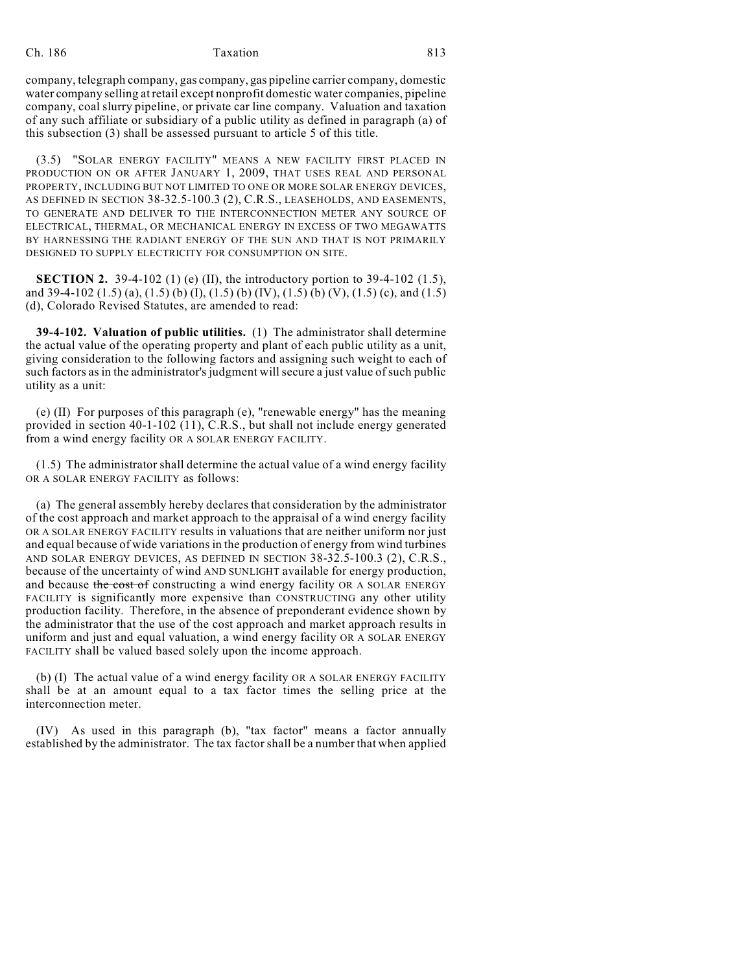## Ch. 186 Taxation **Taxation** 813

company, telegraph company, gas company, gas pipeline carrier company, domestic water company selling at retail except nonprofit domestic water companies, pipeline company, coal slurry pipeline, or private car line company. Valuation and taxation of any such affiliate or subsidiary of a public utility as defined in paragraph (a) of this subsection (3) shall be assessed pursuant to article 5 of this title.

(3.5) "SOLAR ENERGY FACILITY" MEANS A NEW FACILITY FIRST PLACED IN PRODUCTION ON OR AFTER JANUARY 1, 2009, THAT USES REAL AND PERSONAL PROPERTY, INCLUDING BUT NOT LIMITED TO ONE OR MORE SOLAR ENERGY DEVICES, AS DEFINED IN SECTION 38-32.5-100.3 (2), C.R.S., LEASEHOLDS, AND EASEMENTS, TO GENERATE AND DELIVER TO THE INTERCONNECTION METER ANY SOURCE OF ELECTRICAL, THERMAL, OR MECHANICAL ENERGY IN EXCESS OF TWO MEGAWATTS BY HARNESSING THE RADIANT ENERGY OF THE SUN AND THAT IS NOT PRIMARILY DESIGNED TO SUPPLY ELECTRICITY FOR CONSUMPTION ON SITE.

**SECTION 2.** 39-4-102 (1) (e) (II), the introductory portion to 39-4-102 (1.5), and 39-4-102 (1.5) (a), (1.5) (b) (I), (1.5) (b) (IV), (1.5) (b) (V), (1.5) (c), and (1.5) (d), Colorado Revised Statutes, are amended to read:

**39-4-102. Valuation of public utilities.** (1) The administrator shall determine the actual value of the operating property and plant of each public utility as a unit, giving consideration to the following factors and assigning such weight to each of such factors as in the administrator's judgment will secure a just value of such public utility as a unit:

(e) (II) For purposes of this paragraph (e), "renewable energy" has the meaning provided in section 40-1-102 (11), C.R.S., but shall not include energy generated from a wind energy facility OR A SOLAR ENERGY FACILITY.

(1.5) The administrator shall determine the actual value of a wind energy facility OR A SOLAR ENERGY FACILITY as follows:

(a) The general assembly hereby declares that consideration by the administrator of the cost approach and market approach to the appraisal of a wind energy facility OR A SOLAR ENERGY FACILITY results in valuations that are neither uniform nor just and equal because of wide variations in the production of energy from wind turbines AND SOLAR ENERGY DEVICES, AS DEFINED IN SECTION 38-32.5-100.3 (2), C.R.S., because of the uncertainty of wind AND SUNLIGHT available for energy production, and because the cost of constructing a wind energy facility OR A SOLAR ENERGY FACILITY is significantly more expensive than CONSTRUCTING any other utility production facility. Therefore, in the absence of preponderant evidence shown by the administrator that the use of the cost approach and market approach results in uniform and just and equal valuation, a wind energy facility OR A SOLAR ENERGY FACILITY shall be valued based solely upon the income approach.

(b) (I) The actual value of a wind energy facility OR A SOLAR ENERGY FACILITY shall be at an amount equal to a tax factor times the selling price at the interconnection meter.

(IV) As used in this paragraph (b), "tax factor" means a factor annually established by the administrator. The tax factor shall be a number that when applied